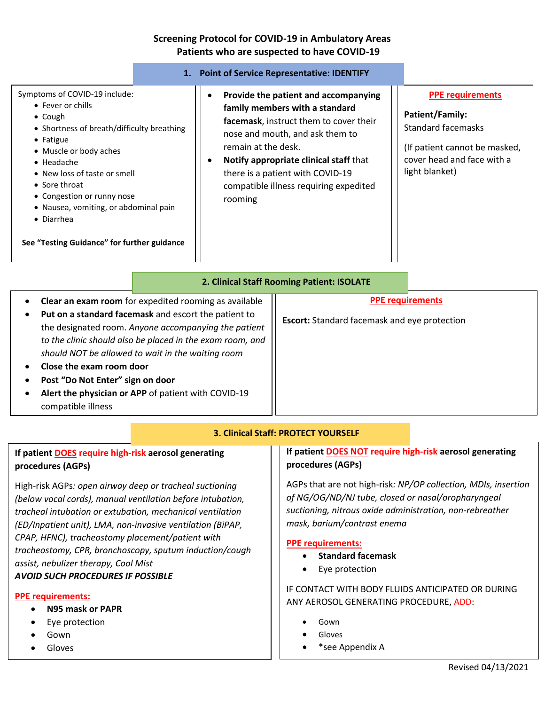### **Screening Protocol for COVID-19 in Ambulatory Areas Patients who are suspected to have COVID-19**

|                                                                                                                                                                                                                                                                                                                                                                       |                                                                                                                                                                                                                                                                                                                                 | 1. Point of Service Representative: IDENTIFY        |                                                                                                                                                                 |
|-----------------------------------------------------------------------------------------------------------------------------------------------------------------------------------------------------------------------------------------------------------------------------------------------------------------------------------------------------------------------|---------------------------------------------------------------------------------------------------------------------------------------------------------------------------------------------------------------------------------------------------------------------------------------------------------------------------------|-----------------------------------------------------|-----------------------------------------------------------------------------------------------------------------------------------------------------------------|
| Symptoms of COVID-19 include:<br>• Fever or chills<br>$\bullet$ Cough<br>• Shortness of breath/difficulty breathing<br>• Fatigue<br>• Muscle or body aches<br>$\bullet$ Headache<br>• New loss of taste or smell<br>• Sore throat<br>• Congestion or runny nose<br>• Nausea, vomiting, or abdominal pain<br>• Diarrhea<br>See "Testing Guidance" for further guidance | Provide the patient and accompanying<br>٠<br>family members with a standard<br>facemask, instruct them to cover their<br>nose and mouth, and ask them to<br>remain at the desk.<br>Notify appropriate clinical staff that<br>$\bullet$<br>there is a patient with COVID-19<br>compatible illness requiring expedited<br>rooming |                                                     | <b>PPE requirements</b><br><b>Patient/Family:</b><br><b>Standard facemasks</b><br>(If patient cannot be masked,<br>cover head and face with a<br>light blanket) |
| 2. Clinical Staff Rooming Patient: ISOLATE                                                                                                                                                                                                                                                                                                                            |                                                                                                                                                                                                                                                                                                                                 |                                                     |                                                                                                                                                                 |
| Clear an exam room for expedited rooming as available<br>٠                                                                                                                                                                                                                                                                                                            |                                                                                                                                                                                                                                                                                                                                 |                                                     | <b>PPE requirements</b>                                                                                                                                         |
| Put on a standard facemask and escort the patient to<br>٠<br>the designated room. Anyone accompanying the patient                                                                                                                                                                                                                                                     |                                                                                                                                                                                                                                                                                                                                 | <b>Escort:</b> Standard facemask and eye protection |                                                                                                                                                                 |

# **3. Clinical Staff: PROTECT YOURSELF**

# **If patient DOES require high-risk aerosol generating procedures (AGPs)**

• **Close the exam room door**

compatible illness

• **Post "Do Not Enter" sign on door**

*to the clinic should also be placed in the exam room, and* 

*should NOT be allowed to wait in the waiting room*

• **Alert the physician or APP** of patient with COVID-19

High-risk AGPs*: open airway deep or tracheal suctioning (below vocal cords), manual ventilation before intubation, tracheal intubation or extubation, mechanical ventilation (ED/Inpatient unit), LMA, non-invasive ventilation (BiPAP, CPAP, HFNC), tracheostomy placement/patient with tracheostomy, CPR, bronchoscopy, sputum induction/cough assist, nebulizer therapy, Cool Mist AVOID SUCH PROCEDURES IF POSSIBLE*

#### **PPE requirements:**

- **N95 mask or PAPR**
- Eye protection

 $\overline{\phantom{a}}$  . The second constraint  $\overline{\phantom{a}}$ 

- Gown
- Gloves

### **If patient DOES NOT require high-risk aerosol generating procedures (AGPs)**

AGPs that are not high-risk*: NP/OP collection, MDIs, insertion of NG/OG/ND/NJ tube, closed or nasal/oropharyngeal suctioning, nitrous oxide administration, non-rebreather mask, barium/contrast enema*

#### **PPE requirements:**

- **Standard facemask**
- Eye protection

## IF CONTACT WITH BODY FLUIDS ANTICIPATED OR DURING ANY AEROSOL GENERATING PROCEDURE, ADD:

- Gown
- **Gloves**
- \*see Appendix A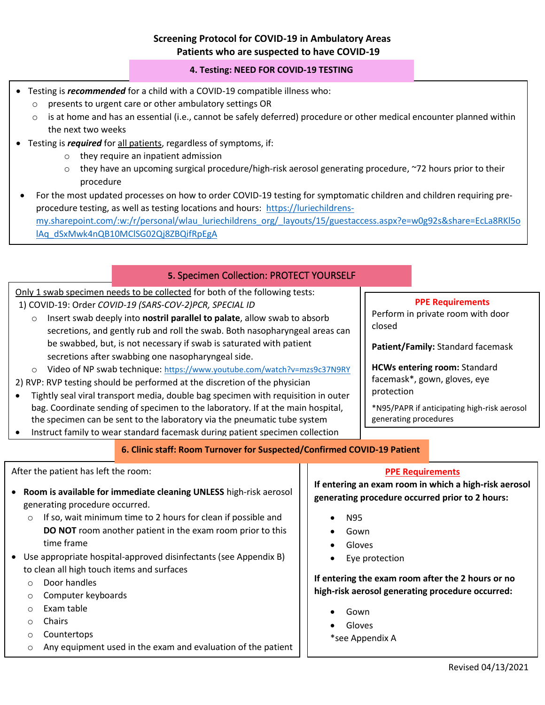## **Screening Protocol for COVID-19 in Ambulatory Areas Patients who are suspected to have COVID-19**

#### **4. Testing: NEED FOR COVID-19 TESTING**

- Testing is *recommended* for a child with a COVID-19 compatible illness who:
	- o presents to urgent care or other ambulatory settings OR
	- $\circ$  is at home and has an essential (i.e., cannot be safely deferred) procedure or other medical encounter planned within the next two weeks
- Testing is *required* for all patients, regardless of symptoms, if:
	- o they require an inpatient admission
	- $\circ$  they have an upcoming surgical procedure/high-risk aerosol generating procedure, ~72 hours prior to their procedure
- For the most updated processes on how to order COVID-19 testing for symptomatic children and children requiring preprocedure testing, as well as testing locations and hours: [https://luriechildrens](https://luriechildrens-my.sharepoint.com/:w:/r/personal/wlau_luriechildrens_org/_layouts/15/guestaccess.aspx?e=w0g92s&share=EcLa8RKl5olAq_dSxMwk4nQB10MClSG02Qj8ZBQifRpEgA)[my.sharepoint.com/:w:/r/personal/wlau\\_luriechildrens\\_org/\\_layouts/15/guestaccess.aspx?e=w0g92s&share=EcLa8RKl5o](https://luriechildrens-my.sharepoint.com/:w:/r/personal/wlau_luriechildrens_org/_layouts/15/guestaccess.aspx?e=w0g92s&share=EcLa8RKl5olAq_dSxMwk4nQB10MClSG02Qj8ZBQifRpEgA) [lAq\\_dSxMwk4nQB10MClSG02Qj8ZBQifRpEgA](https://luriechildrens-my.sharepoint.com/:w:/r/personal/wlau_luriechildrens_org/_layouts/15/guestaccess.aspx?e=w0g92s&share=EcLa8RKl5olAq_dSxMwk4nQB10MClSG02Qj8ZBQifRpEgA)

#### **5.** Specimen Collection: PROTECT YOURSELF

Only 1 swab specimen needs to be collected for both of the following tests:

- 1) COVID-19: Order *COVID-19 (SARS-COV-2)PCR, SPECIAL ID*
	- o Insert swab deeply into **nostril parallel to palate**, allow swab to absorb secretions, and gently rub and roll the swab. Both nasopharyngeal areas can be swabbed, but, is not necessary if swab is saturated with patient secretions after swabbing one nasopharyngeal side.
	- o Video of NP swab technique: <https://www.youtube.com/watch?v=mzs9c37N9RY>

2) RVP: RVP testing should be performed at the discretion of the physician

- Tightly seal viral transport media, double bag specimen with requisition in outer bag. Coordinate sending of specimen to the laboratory. If at the main hospital, the specimen can be sent to the laboratory via the pneumatic tube system
- Instruct family to wear standard facemask during patient specimen collection

#### **6. Clinic staff: Room Turnover for Suspected/Confirmed COVID-19 Patient**

#### After the patient has left the room:

- **Room is available for immediate cleaning UNLESS** high-risk aerosol generating procedure occurred.
	- o If so, wait minimum time to 2 hours for clean if possible and **DO NOT** room another patient in the exam room prior to this time frame
- Use appropriate hospital-approved disinfectants (see Appendix B) to clean all high touch items and surfaces
	- o Door handles
	- o Computer keyboards
	- o Exam table
	- o Chairs
	- o Countertops
	- o Any equipment used in the exam and evaluation of the patient

#### **PPE Requirements**

Perform in private room with door closed

**Patient/Family:** Standard facemask

**HCWs entering room:** Standard facemask\*, gown, gloves, eye protection

\*N95/PAPR if anticipating high-risk aerosol generating procedures

#### **PPE Requirements**

**If entering an exam room in which a high-risk aerosol generating procedure occurred prior to 2 hours:**

- N95
- Gown
- Gloves
- Eye protection

**If entering the exam room after the 2 hours or no high-risk aerosol generating procedure occurred:**

- Gown
- Gloves

\*see Appendix A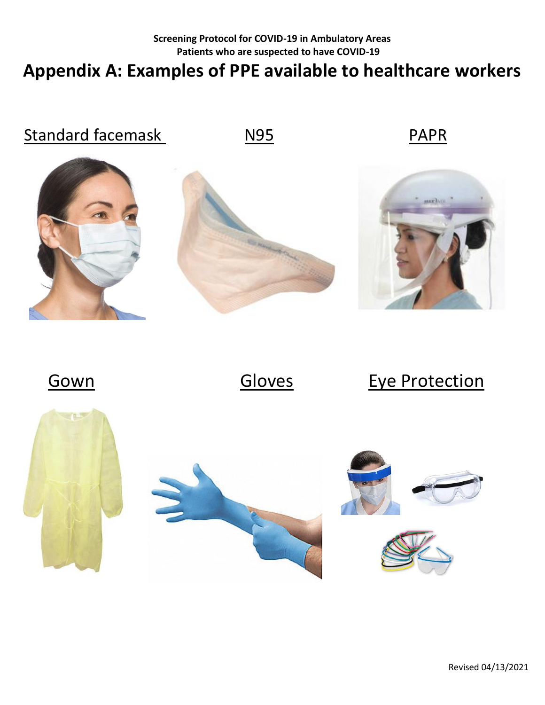# **Screening Protocol for COVID-19 in Ambulatory Areas Patients who are suspected to have COVID-19 Appendix A: Examples of PPE available to healthcare workers**



Gown Gloves Eye Protection



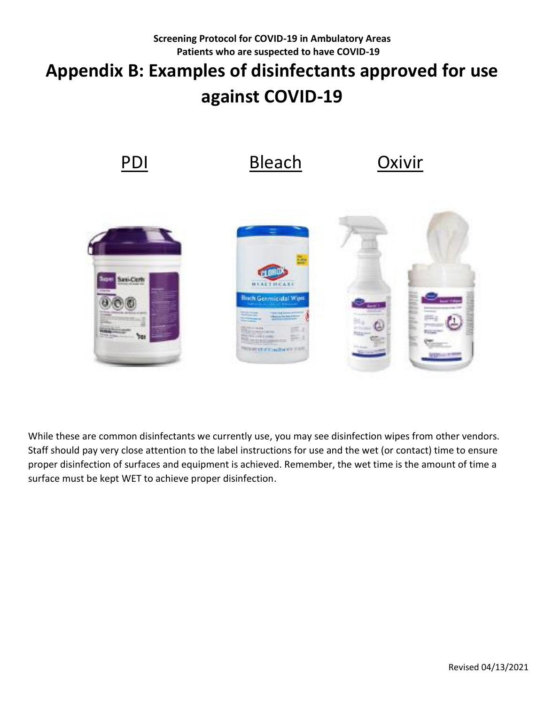# **Screening Protocol for COVID-19 in Ambulatory Areas Patients who are suspected to have COVID-19 Appendix B: Examples of disinfectants approved for use against COVID-19**



While these are common disinfectants we currently use, you may see disinfection wipes from other vendors. Staff should pay very close attention to the label instructions for use and the wet (or contact) time to ensure proper disinfection of surfaces and equipment is achieved. Remember, the wet time is the amount of time a surface must be kept WET to achieve proper disinfection.